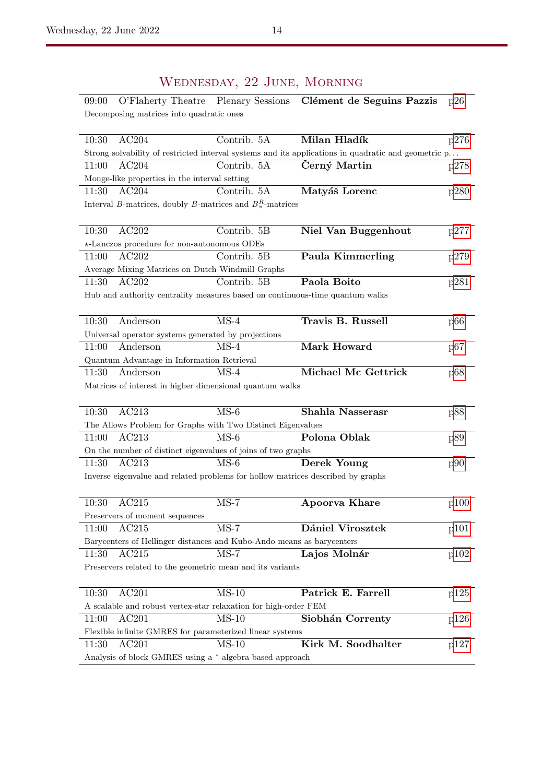## Wednesday, 22 June, Morning

09:00 O'Flaherty Theatre Plenary Sessions Clément de Seguins Pazzis [p26](#page--1-0) Decomposing matrices into quadratic ones

| AC204<br>10:30                                                                                      | Contrib. 5A              | Milan Hladík            | p276 |  |
|-----------------------------------------------------------------------------------------------------|--------------------------|-------------------------|------|--|
| Strong solvability of restricted interval systems and its applications in quadratic and geometric p |                          |                         |      |  |
| AC204<br>11:00                                                                                      | Contrib. 5A              | Černý Martin            | p278 |  |
| Monge-like properties in the interval setting                                                       |                          |                         |      |  |
| AC204<br>11:30                                                                                      | Contrib. 5A              | Matyáš Lorenc           | p280 |  |
| Interval B-matrices, doubly B-matrices and $B_{\pi}^{R}$ -matrices                                  |                          |                         |      |  |
|                                                                                                     |                          |                         |      |  |
| 10:30<br>AC202                                                                                      | Contrib. 5B              | Niel Van Buggenhout     | p277 |  |
| *-Lanczos procedure for non-autonomous ODEs                                                         |                          |                         |      |  |
| AC202<br>11:00                                                                                      | Contrib. 5B              | <b>Paula Kimmerling</b> | p279 |  |
| Average Mixing Matrices on Dutch Windmill Graphs                                                    |                          |                         |      |  |
| AC202<br>11:30                                                                                      | Contrib. 5B              | Paola Boito             | p281 |  |
| Hub and authority centrality measures based on continuous-time quantum walks                        |                          |                         |      |  |
|                                                                                                     |                          |                         |      |  |
| 10:30<br>Anderson                                                                                   | $MS-4$                   | Travis B. Russell       | p66  |  |
| Universal operator systems generated by projections                                                 |                          |                         |      |  |
| Anderson<br>11:00                                                                                   | $MS-4$                   | Mark Howard             | p67  |  |
| Quantum Advantage in Information Retrieval                                                          |                          |                         |      |  |
| Anderson<br>11:30                                                                                   | $MS-4$                   | Michael Mc Gettrick     | p68  |  |
| Matrices of interest in higher dimensional quantum walks                                            |                          |                         |      |  |
|                                                                                                     |                          |                         |      |  |
| AC213<br>10:30                                                                                      | $MS-6$                   | <b>Shahla Nasserasr</b> | p88  |  |
| The Allows Problem for Graphs with Two Distinct Eigenvalues                                         |                          |                         |      |  |
| AC213<br>11:00                                                                                      | $MS-6$                   | Polona Oblak            | p89  |  |
| On the number of distinct eigenvalues of joins of two graphs                                        |                          |                         |      |  |
| AC213<br>11:30                                                                                      | $MS-6$                   | Derek Young             | p90  |  |
| Inverse eigenvalue and related problems for hollow matrices described by graphs                     |                          |                         |      |  |
|                                                                                                     |                          |                         |      |  |
| AC215<br>10:30                                                                                      | $MS-7$                   | Apoorva Khare           | p100 |  |
| Preservers of moment sequences                                                                      |                          |                         |      |  |
| AC215<br>11:00                                                                                      | $MS-7$                   | Dániel Virosztek        | p101 |  |
| Barycenters of Hellinger distances and Kubo-Ando means as barycenters                               |                          |                         |      |  |
| AC215<br>11:30                                                                                      | $\overline{\text{MS-7}}$ | Lajos Molnár            | p102 |  |
| Preservers related to the geometric mean and its variants                                           |                          |                         |      |  |
|                                                                                                     |                          |                         |      |  |
| AC201<br>10:30                                                                                      | $MS-10$                  | Patrick E. Farrell      | p125 |  |
| A scalable and robust vertex-star relaxation for high-order FEM                                     |                          |                         |      |  |
| AC201<br>11:00                                                                                      | $MS-10$                  | Siobhán Correnty        | p126 |  |
| Flexible infinite GMRES for parameterized linear systems                                            |                          |                         |      |  |
| AC201<br>11:30                                                                                      | $MS-10$                  | Kirk M. Soodhalter      | p127 |  |
| Analysis of block GMRES using a *-algebra-based approach                                            |                          |                         |      |  |